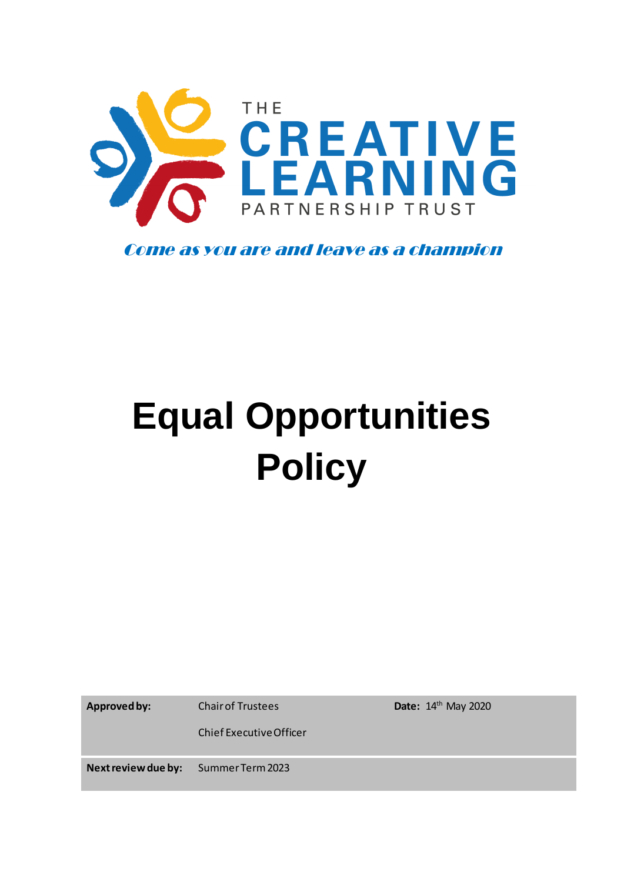

Come as you are and leave as a champion

# **Equal Opportunities Policy**

**Approved by:** Chair of Trustees

**Date:** 14th May 2020

Chief Executive Officer

**Next review due by:** Summer Term 2023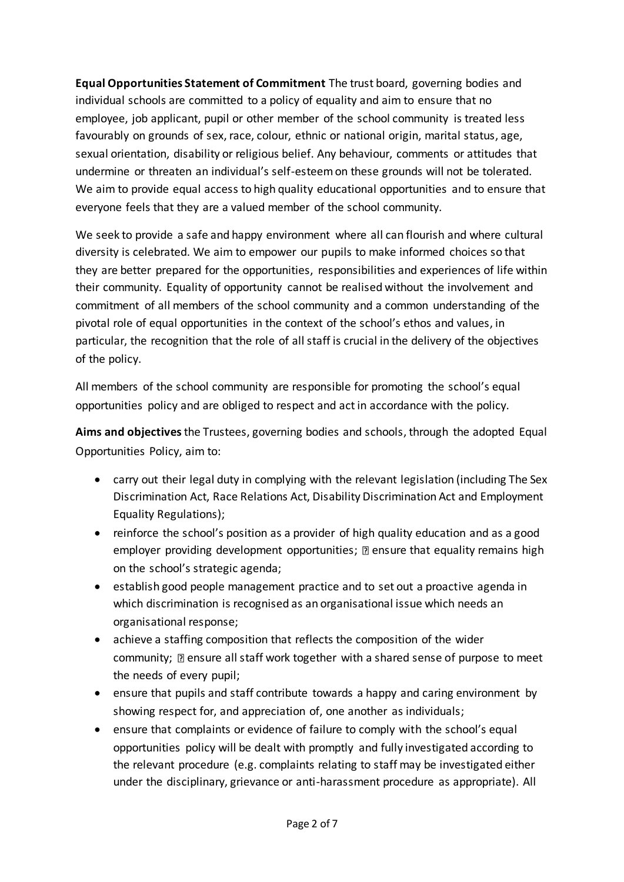**Equal Opportunities Statement of Commitment** The trust board, governing bodies and individual schools are committed to a policy of equality and aim to ensure that no employee, job applicant, pupil or other member of the school community is treated less favourably on grounds of sex, race, colour, ethnic or national origin, marital status, age, sexual orientation, disability or religious belief. Any behaviour, comments or attitudes that undermine or threaten an individual's self-esteem on these grounds will not be tolerated. We aim to provide equal access to high quality educational opportunities and to ensure that everyone feels that they are a valued member of the school community.

We seek to provide a safe and happy environment where all can flourish and where cultural diversity is celebrated. We aim to empower our pupils to make informed choices so that they are better prepared for the opportunities, responsibilities and experiences of life within their community. Equality of opportunity cannot be realised without the involvement and commitment of all members of the school community and a common understanding of the pivotal role of equal opportunities in the context of the school's ethos and values, in particular, the recognition that the role of all staff is crucial in the delivery of the objectives of the policy.

All members of the school community are responsible for promoting the school's equal opportunities policy and are obliged to respect and act in accordance with the policy.

**Aims and objectives** the Trustees, governing bodies and schools, through the adopted Equal Opportunities Policy, aim to:

- carry out their legal duty in complying with the relevant legislation (including The Sex Discrimination Act, Race Relations Act, Disability Discrimination Act and Employment Equality Regulations);
- reinforce the school's position as a provider of high quality education and as a good employer providing development opportunities;  $\mathbb D$  ensure that equality remains high on the school's strategic agenda;
- establish good people management practice and to set out a proactive agenda in which discrimination is recognised as an organisational issue which needs an organisational response;
- achieve a staffing composition that reflects the composition of the wider community;  $\mathbb D$  ensure all staff work together with a shared sense of purpose to meet the needs of every pupil;
- ensure that pupils and staff contribute towards a happy and caring environment by showing respect for, and appreciation of, one another as individuals;
- ensure that complaints or evidence of failure to comply with the school's equal opportunities policy will be dealt with promptly and fully investigated according to the relevant procedure (e.g. complaints relating to staff may be investigated either under the disciplinary, grievance or anti-harassment procedure as appropriate). All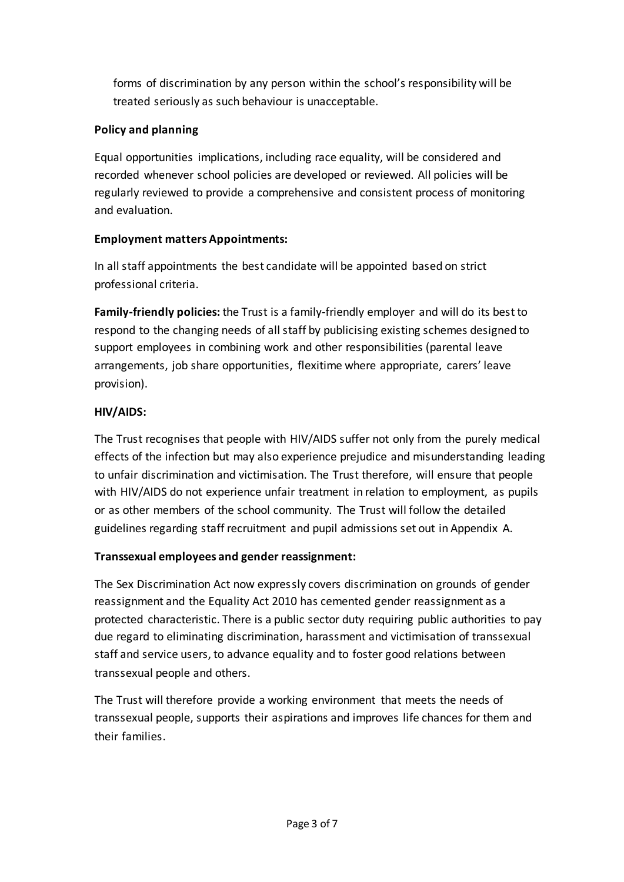forms of discrimination by any person within the school's responsibility will be treated seriously as such behaviour is unacceptable.

#### **Policy and planning**

Equal opportunities implications, including race equality, will be considered and recorded whenever school policies are developed or reviewed. All policies will be regularly reviewed to provide a comprehensive and consistent process of monitoring and evaluation.

## **Employment matters Appointments:**

In all staff appointments the best candidate will be appointed based on strict professional criteria.

**Family-friendly policies:** the Trust is a family-friendly employer and will do its best to respond to the changing needs of all staff by publicising existing schemes designed to support employees in combining work and other responsibilities (parental leave arrangements, job share opportunities, flexitime where appropriate, carers' leave provision).

## **HIV/AIDS:**

The Trust recognises that people with HIV/AIDS suffer not only from the purely medical effects of the infection but may also experience prejudice and misunderstanding leading to unfair discrimination and victimisation. The Trust therefore, will ensure that people with HIV/AIDS do not experience unfair treatment in relation to employment, as pupils or as other members of the school community. The Trust will follow the detailed guidelines regarding staff recruitment and pupil admissions set out in Appendix A.

## **Transsexual employees and gender reassignment:**

The Sex Discrimination Act now expressly covers discrimination on grounds of gender reassignment and the Equality Act 2010 has cemented gender reassignment as a protected characteristic. There is a public sector duty requiring public authorities to pay due regard to eliminating discrimination, harassment and victimisation of transsexual staff and service users, to advance equality and to foster good relations between transsexual people and others.

The Trust will therefore provide a working environment that meets the needs of transsexual people, supports their aspirations and improves life chances for them and their families.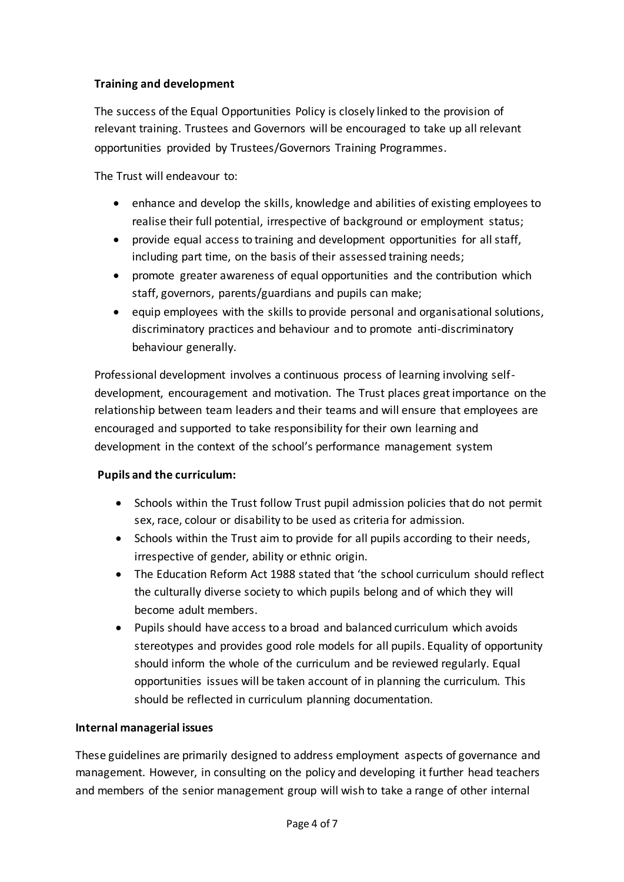#### **Training and development**

The success of the Equal Opportunities Policy is closely linked to the provision of relevant training. Trustees and Governors will be encouraged to take up all relevant opportunities provided by Trustees/Governors Training Programmes.

The Trust will endeavour to:

- enhance and develop the skills, knowledge and abilities of existing employees to realise their full potential, irrespective of background or employment status;
- provide equal access to training and development opportunities for all staff, including part time, on the basis of their assessed training needs;
- promote greater awareness of equal opportunities and the contribution which staff, governors, parents/guardians and pupils can make;
- equip employees with the skills to provide personal and organisational solutions, discriminatory practices and behaviour and to promote anti-discriminatory behaviour generally.

Professional development involves a continuous process of learning involving selfdevelopment, encouragement and motivation. The Trust places great importance on the relationship between team leaders and their teams and will ensure that employees are encouraged and supported to take responsibility for their own learning and development in the context of the school's performance management system

#### **Pupils and the curriculum:**

- Schools within the Trust follow Trust pupil admission policies that do not permit sex, race, colour or disability to be used as criteria for admission.
- Schools within the Trust aim to provide for all pupils according to their needs, irrespective of gender, ability or ethnic origin.
- The Education Reform Act 1988 stated that 'the school curriculum should reflect the culturally diverse society to which pupils belong and of which they will become adult members.
- Pupils should have access to a broad and balanced curriculum which avoids stereotypes and provides good role models for all pupils. Equality of opportunity should inform the whole of the curriculum and be reviewed regularly. Equal opportunities issues will be taken account of in planning the curriculum. This should be reflected in curriculum planning documentation.

#### **Internal managerial issues**

These guidelines are primarily designed to address employment aspects of governance and management. However, in consulting on the policy and developing it further head teachers and members of the senior management group will wish to take a range of other internal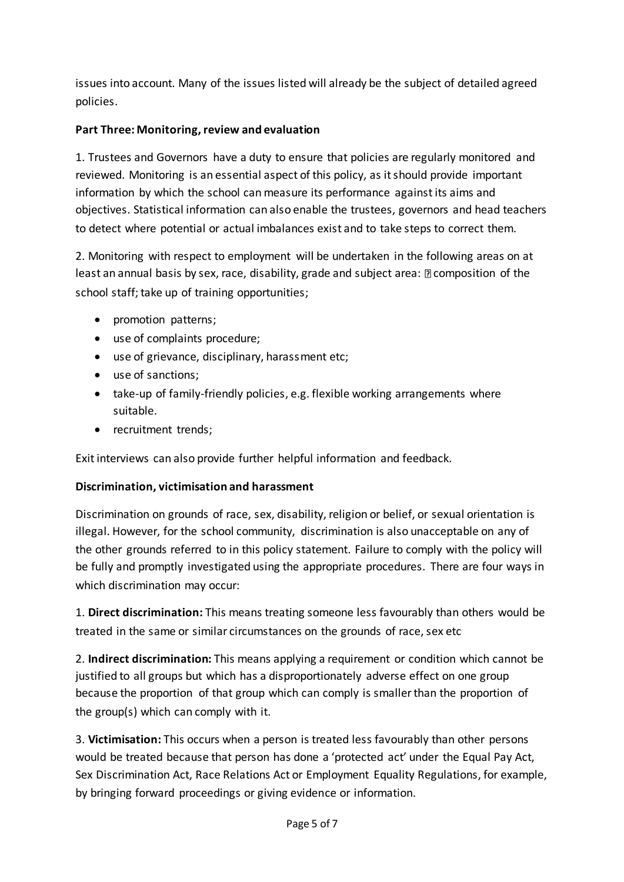issues into account. Many of the issues listed will already be the subject of detailed agreed policies.

#### **Part Three: Monitoring, review and evaluation**

1. Trustees and Governors have a duty to ensure that policies are regularly monitored and reviewed. Monitoring is an essential aspect of this policy, as it should provide important information by which the school can measure its performance against its aims and objectives. Statistical information can also enable the trustees, governors and head teachers to detect where potential or actual imbalances exist and to take steps to correct them.

2. Monitoring with respect to employment will be undertaken in the following areas on at least an annual basis by sex, race, disability, grade and subject area:  $\mathbb D$  composition of the school staff; take up of training opportunities;

- promotion patterns;
- use of complaints procedure;
- use of grievance, disciplinary, harassment etc;
- use of sanctions;
- take-up of family-friendly policies, e.g. flexible working arrangements where suitable.
- recruitment trends;

Exit interviews can also provide further helpful information and feedback.

#### **Discrimination, victimisation and harassment**

Discrimination on grounds of race, sex, disability, religion or belief, or sexual orientation is illegal. However, for the school community, discrimination is also unacceptable on any of the other grounds referred to in this policy statement. Failure to comply with the policy will be fully and promptly investigated using the appropriate procedures. There are four ways in which discrimination may occur:

1. **Direct discrimination:** This means treating someone less favourably than others would be treated in the same or similar circumstances on the grounds of race, sex etc

2. **Indirect discrimination:** This means applying a requirement or condition which cannot be justified to all groups but which has a disproportionately adverse effect on one group because the proportion of that group which can comply is smaller than the proportion of the group(s) which can comply with it.

3. **Victimisation:** This occurs when a person is treated less favourably than other persons would be treated because that person has done a 'protected act' under the Equal Pay Act, Sex Discrimination Act, Race Relations Act or Employment Equality Regulations, for example, by bringing forward proceedings or giving evidence or information.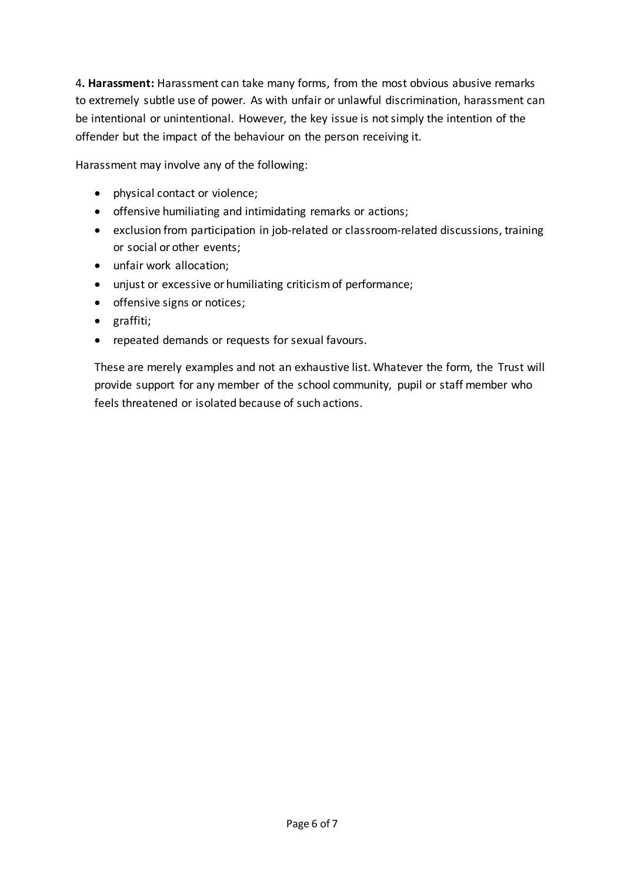4**. Harassment:** Harassment can take many forms, from the most obvious abusive remarks to extremely subtle use of power. As with unfair or unlawful discrimination, harassment can be intentional or unintentional. However, the key issue is not simply the intention of the offender but the impact of the behaviour on the person receiving it.

Harassment may involve any of the following:

- physical contact or violence;
- offensive humiliating and intimidating remarks or actions;
- exclusion from participation in job-related or classroom-related discussions, training or social or other events;
- unfair work allocation;
- unjust or excessive or humiliating criticism of performance;
- offensive signs or notices;
- graffiti;
- repeated demands or requests for sexual favours.

These are merely examples and not an exhaustive list. Whatever the form, the Trust will provide support for any member of the school community, pupil or staff member who feels threatened or isolated because of such actions.